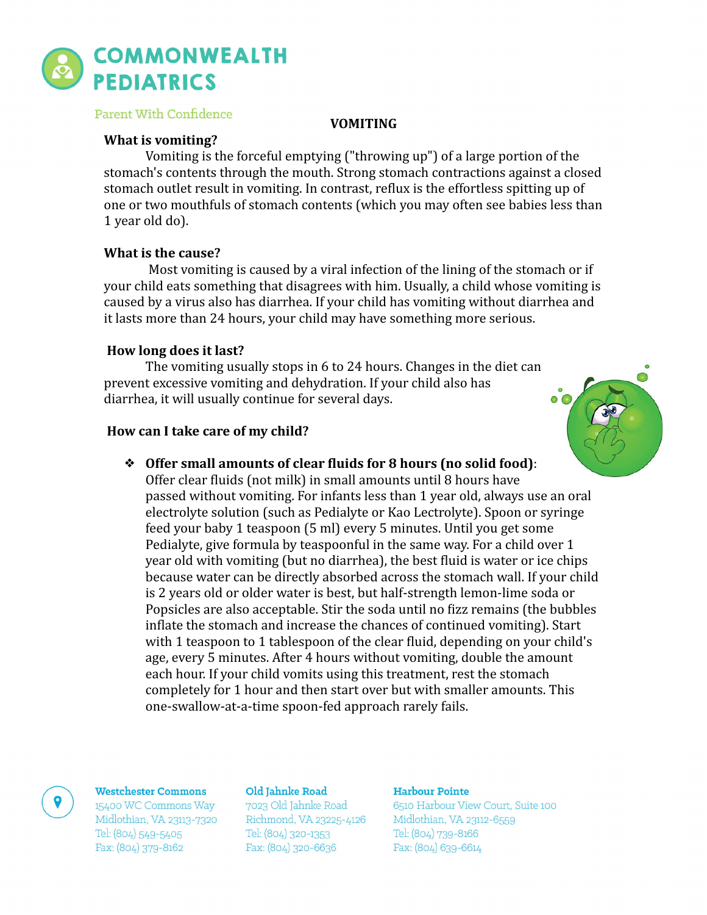

# Parent With Confidence

# **VOMITING**

# **What is vomiting?**

Vomiting is the forceful emptying  $('throwing up'')$  of a large portion of the stomach's contents through the mouth. Strong stomach contractions against a closed stomach outlet result in vomiting. In contrast, reflux is the effortless spitting up of one or two mouthfuls of stomach contents (which you may often see babies less than 1 year old do).

# **What is the cause?**

Most vomiting is caused by a viral infection of the lining of the stomach or if your child eats something that disagrees with him. Usually, a child whose vomiting is caused by a virus also has diarrhea. If your child has vomiting without diarrhea and it lasts more than 24 hours, your child may have something more serious.

# **How long does it last?**

The vomiting usually stops in 6 to 24 hours. Changes in the diet can prevent excessive vomiting and dehydration. If your child also has diarrhea, it will usually continue for several days.

# **How can I take care of my child?**



**❖** Offer small amounts of clear fluids for 8 hours (no solid food):

Offer clear fluids (not milk) in small amounts until 8 hours have passed without vomiting. For infants less than 1 year old, always use an oral electrolyte solution (such as Pedialyte or Kao Lectrolyte). Spoon or syringe feed your baby 1 teaspoon (5 ml) every 5 minutes. Until you get some Pedialyte, give formula by teaspoonful in the same way. For a child over  $1$ year old with vomiting (but no diarrhea), the best fluid is water or ice chips because water can be directly absorbed across the stomach wall. If your child is 2 years old or older water is best, but half-strength lemon-lime soda or Popsicles are also acceptable. Stir the soda until no fizz remains (the bubbles inflate the stomach and increase the chances of continued vomiting). Start with 1 teaspoon to 1 tablespoon of the clear fluid, depending on your child's age, every 5 minutes. After 4 hours without vomiting, double the amount each hour. If your child vomits using this treatment, rest the stomach completely for 1 hour and then start over but with smaller amounts. This one-swallow-at-a-time spoon-fed approach rarely fails.

### **Westchester Commons**

15400 WC Commons Way Midlothian, VA 23113-7320 Tel: (804) 549-5405 Fax: (804) 379-8162

### Old Jahnke Road

7023 Old Jahnke Road Richmond, VA 23225-4126 Tel: (804) 320-1353 Fax: (804) 320-6636

## Harbour Pointe

6510 Harbour View Court, Suite 100 Midlothian, VA 23112-6559 Tel: (804) 739-8166 Fax: (804) 639-6614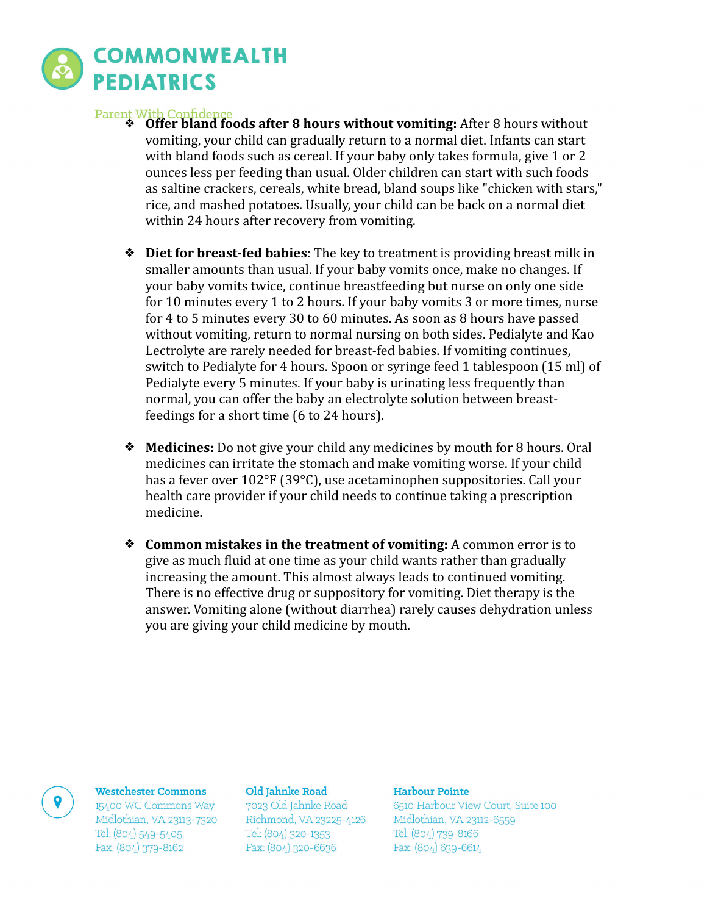

- **Parent With Confidence**<br>  **Offer bland foods after 8 hours without vomiting:** After 8 hours without vomiting, your child can gradually return to a normal diet. Infants can start with bland foods such as cereal. If your baby only takes formula, give 1 or 2 ounces less per feeding than usual. Older children can start with such foods as saltine crackers, cereals, white bread, bland soups like "chicken with stars," rice, and mashed potatoes. Usually, your child can be back on a normal diet within 24 hours after recovery from vomiting.
	- **❖** Diet for breast-fed babies: The key to treatment is providing breast milk in smaller amounts than usual. If your baby vomits once, make no changes. If your baby vomits twice, continue breastfeeding but nurse on only one side for 10 minutes every 1 to 2 hours. If your baby vomits 3 or more times, nurse for 4 to 5 minutes every 30 to 60 minutes. As soon as 8 hours have passed without vomiting, return to normal nursing on both sides. Pedialyte and Kao Lectrolyte are rarely needed for breast-fed babies. If vomiting continues, switch to Pedialyte for 4 hours. Spoon or syringe feed 1 tablespoon (15 ml) of Pedialyte every 5 minutes. If your baby is urinating less frequently than normal, you can offer the baby an electrolyte solution between breastfeedings for a short time (6 to 24 hours).
	- **◆ Medicines:** Do not give your child any medicines by mouth for 8 hours. Oral medicines can irritate the stomach and make vomiting worse. If your child has a fever over  $102^{\circ}F(39^{\circ}C)$ , use acetaminophen suppositories. Call your health care provider if your child needs to continue taking a prescription medicine.
	- **❖** Common mistakes in the treatment of vomiting: A common error is to give as much fluid at one time as your child wants rather than gradually increasing the amount. This almost always leads to continued vomiting. There is no effective drug or suppository for vomiting. Diet therapy is the answer. Vomiting alone (without diarrhea) rarely causes dehydration unless you are giving your child medicine by mouth.

### **Westchester Commons**

15400 WC Commons Way Midlothian, VA 23113-7320 Tel: (804) 549-5405 Fax: (804) 379-8162

### Old Jahnke Road

7023 Old Jahnke Road Richmond, VA 23225-4126 Tel: (804) 320-1353 Fax: (804) 320-6636

### Harbour Pointe

6510 Harbour View Court, Suite 100 Midlothian, VA 23112-6559 Tel: (804) 739-8166 Fax: (804) 639-6614